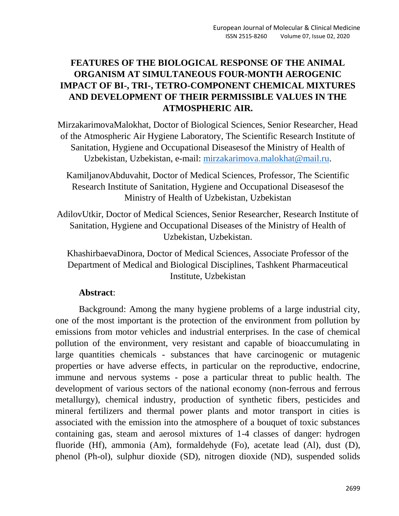# **FEATURES OF THE BIOLOGICAL RESPONSE OF THE ANIMAL ORGANISM AT SIMULTANEOUS FOUR-MONTH AEROGENIC IMPACT OF BI-, TRI-, TETRO-COMPONENT CHEMICAL MIXTURES AND DEVELOPMENT OF THEIR PERMISSIBLE VALUES IN THE ATMOSPHERIC AIR.**

MirzakarimovaMalokhat, Doctor of Biological Sciences, Senior Researcher, Head of the Atmospheric Air Hygiene Laboratory, The Scientific Research Institute of Sanitation, Hygiene and Occupational Diseasesof the Ministry of Health of Uzbekistan, Uzbekistan, e-mail: [mirzakarimova.malokhat@mail.ru.](mailto:mirzakarimova.malokhat@mail.ru)

KamiljanovAbduvahit, Doctor of Medical Sciences, Professor, The Scientific Research Institute of Sanitation, Hygiene and Occupational Diseasesof the Ministry of Health of Uzbekistan, Uzbekistan

AdilovUtkir, Doctor of Medical Sciences, Senior Researcher, Research Institute of Sanitation, Hygiene and Occupational Diseases of the Ministry of Health of Uzbekistan, Uzbekistan.

KhashirbaevaDinora, Doctor of Medical Sciences, Associate Professor of the Department of Medical and Biological Disciplines, Tashkent Pharmaceutical Institute, Uzbekistan

## **Abstract**:

Background: Among the many hygiene problems of a large industrial city, one of the most important is the protection of the environment from pollution by emissions from motor vehicles and industrial enterprises. In the case of chemical pollution of the environment, very resistant and capable of bioaccumulating in large quantities chemicals - substances that have carcinogenic or mutagenic properties or have adverse effects, in particular on the reproductive, endocrine, immune and nervous systems - pose a particular threat to public health. The development of various sectors of the national economy (non-ferrous and ferrous metallurgy), chemical industry, production of synthetic fibers, pesticides and mineral fertilizers and thermal power plants and motor transport in cities is associated with the emission into the atmosphere of a bouquet of toxic substances containing gas, steam and aerosol mixtures of 1-4 classes of danger: hydrogen fluoride (Hf), ammonia (Am), formaldehyde (Fo), acetate lead (Al), dust (D), phenol (Ph-ol), sulphur dioxide (SD), nitrogen dioxide (ND), suspended solids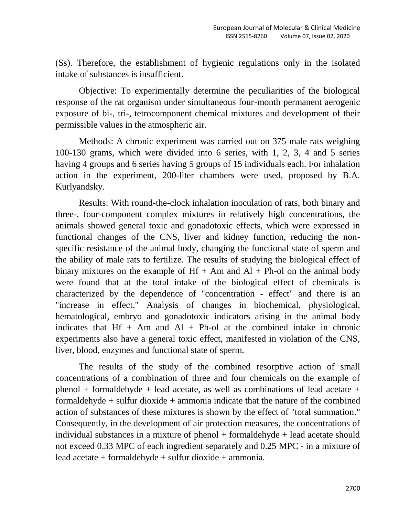(Ss). Therefore, the establishment of hygienic regulations only in the isolated intake of substances is insufficient.

Objective: To experimentally determine the peculiarities of the biological response of the rat organism under simultaneous four-month permanent aerogenic exposure of bi-, tri-, tetrocomponent chemical mixtures and development of their permissible values in the atmospheric air.

Methods: A chronic experiment was carried out on 375 male rats weighing 100-130 grams, which were divided into 6 series, with 1, 2, 3, 4 and 5 series having 4 groups and 6 series having 5 groups of 15 individuals each. For inhalation action in the experiment, 200-liter chambers were used, proposed by B.A. Kurlyandsky.

Results: With round-the-clock inhalation inoculation of rats, both binary and three-, four-component complex mixtures in relatively high concentrations, the animals showed general toxic and gonadotoxic effects, which were expressed in functional changes of the CNS, liver and kidney function, reducing the nonspecific resistance of the animal body, changing the functional state of sperm and the ability of male rats to fertilize. The results of studying the biological effect of binary mixtures on the example of  $Hf + Am$  and  $Al + Ph$ -ol on the animal body were found that at the total intake of the biological effect of chemicals is characterized by the dependence of "concentration - effect" and there is an "increase in effect." Analysis of changes in biochemical, physiological, hematological, embryo and gonadotoxic indicators arising in the animal body indicates that  $Hf + Am$  and  $Al + Ph$ -ol at the combined intake in chronic experiments also have a general toxic effect, manifested in violation of the CNS, liver, blood, enzymes and functional state of sperm.

The results of the study of the combined resorptive action of small concentrations of a combination of three and four chemicals on the example of phenol + formaldehyde + lead acetate, as well as combinations of lead acetate + formaldehyde  $+$  sulfur dioxide  $+$  ammonia indicate that the nature of the combined action of substances of these mixtures is shown by the effect of "total summation." Consequently, in the development of air protection measures, the concentrations of individual substances in a mixture of phenol + formaldehyde + lead acetate should not exceed 0.33 MPC of each ingredient separately and 0.25 MPC - in a mixture of lead acetate + formaldehyde + sulfur dioxide + ammonia.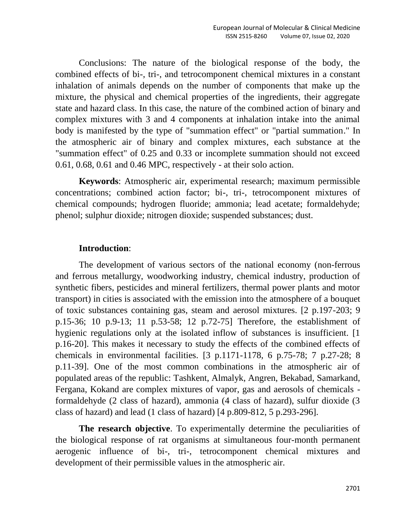Conclusions: The nature of the biological response of the body, the combined effects of bi-, tri-, and tetrocomponent chemical mixtures in a constant inhalation of animals depends on the number of components that make up the mixture, the physical and chemical properties of the ingredients, their aggregate state and hazard class. In this case, the nature of the combined action of binary and complex mixtures with 3 and 4 components at inhalation intake into the animal body is manifested by the type of "summation effect" or "partial summation." In the atmospheric air of binary and complex mixtures, each substance at the "summation effect" of 0.25 and 0.33 or incomplete summation should not exceed 0.61, 0.68, 0.61 and 0.46 MPC, respectively - at their solo action.

**Keywords**: Atmospheric air, experimental research; maximum permissible concentrations; combined action factor; bi-, tri-, tetrocomponent mixtures of chemical compounds; hydrogen fluoride; ammonia; lead acetate; formaldehyde; phenol; sulphur dioxide; nitrogen dioxide; suspended substances; dust.

### **Introduction**:

The development of various sectors of the national economy (non-ferrous and ferrous metallurgy, woodworking industry, chemical industry, production of synthetic fibers, pesticides and mineral fertilizers, thermal power plants and motor transport) in cities is associated with the emission into the atmosphere of a bouquet of toxic substances containing gas, steam and aerosol mixtures. [2 p.197-203; 9 p.15-36; 10 p.9-13; 11 p.53-58; 12 p.72-75] Therefore, the establishment of hygienic regulations only at the isolated inflow of substances is insufficient. [1] p.16-20]. This makes it necessary to study the effects of the combined effects of chemicals in environmental facilities. [3 p.1171-1178, 6 p.75-78; 7 p.27-28; 8 p.11-39]. One of the most common combinations in the atmospheric air of populated areas of the republic: Tashkent, Almalyk, Angren, Bekabad, Samarkand, Fergana, Kokand are complex mixtures of vapor, gas and aerosols of chemicals formaldehyde (2 class of hazard), ammonia (4 class of hazard), sulfur dioxide (3 class of hazard) and lead (1 class of hazard) [4 p.809-812, 5 p.293-296].

**The research objective**. To experimentally determine the peculiarities of the biological response of rat organisms at simultaneous four-month permanent aerogenic influence of bi-, tri-, tetrocomponent chemical mixtures and development of their permissible values in the atmospheric air.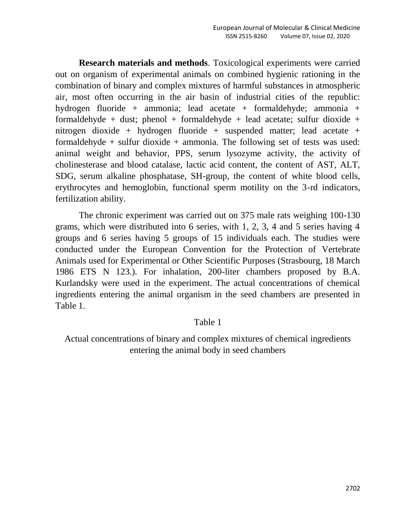**Research materials and methods**. Toxicological experiments were carried out on organism of experimental animals on combined hygienic rationing in the combination of binary and complex mixtures of harmful substances in atmospheric air, most often occurring in the air basin of industrial cities of the republic: hydrogen fluoride + ammonia; lead acetate + formaldehyde; ammonia + formaldehyde + dust; phenol + formaldehyde + lead acetate; sulfur dioxide + nitrogen dioxide + hydrogen fluoride + suspended matter; lead acetate + formaldehyde + sulfur dioxide + ammonia. The following set of tests was used: animal weight and behavior, PPS, serum lysozyme activity, the activity of cholinesterase and blood catalase, lactic acid content, the content of AST, ALT, SDG, serum alkaline phosphatase, SH-group, the content of white blood cells, erythrocytes and hemoglobin, functional sperm motility on the 3-rd indicators, fertilization ability.

The chronic experiment was carried out on 375 male rats weighing 100-130 grams, which were distributed into 6 series, with 1, 2, 3, 4 and 5 series having 4 groups and 6 series having 5 groups of 15 individuals each. The studies were conducted under the European Convention for the Protection of Vertebrate Animals used for Experimental or Other Scientific Purposes (Strasbourg, 18 March 1986 ETS N 123.). For inhalation, 200-liter chambers proposed by B.A. Kurlandsky were used in the experiment. The actual concentrations of chemical ingredients entering the animal organism in the seed chambers are presented in Table 1.

### Table 1

Actual concentrations of binary and complex mixtures of chemical ingredients entering the animal body in seed chambers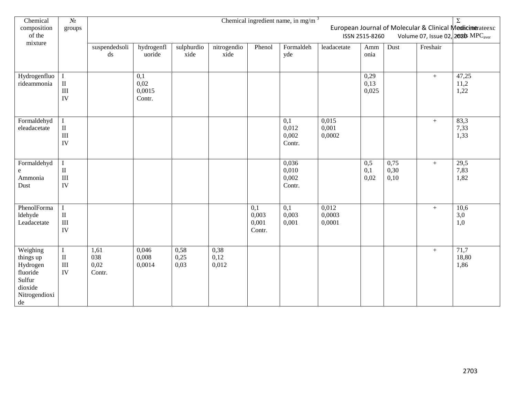| Chemical                                                                                  | $N_2$                                                           | Chemical ingredient name, in mg/m $3$<br>$\overline{\Sigma}$                                                                |                                 |                      |                       |                                 |                                              |                           |                       |                      |          |                       |
|-------------------------------------------------------------------------------------------|-----------------------------------------------------------------|-----------------------------------------------------------------------------------------------------------------------------|---------------------------------|----------------------|-----------------------|---------------------------------|----------------------------------------------|---------------------------|-----------------------|----------------------|----------|-----------------------|
| composition<br>of the<br>mixture                                                          | groups                                                          | European Journal of Molecular & Clinical Medicinerateexc<br>Volume 07, Issue 02, 2020 MPC <sub>aver</sub><br>ISSN 2515-8260 |                                 |                      |                       |                                 |                                              |                           |                       |                      |          |                       |
|                                                                                           |                                                                 | suspendedsoli<br>$\mathrm{d}\mathrm{s}$                                                                                     | hydrogenfl<br>uoride            | sulphurdio<br>xide   | nitrogendio<br>xide   | Phenol                          | Formaldeh<br>yde                             | leadacetate               | Amm<br>onia           | Dust                 | Freshair |                       |
| Hydrogenfluo<br>rideammonia                                                               | $\mathbf I$<br>$\rm II$<br>$\rm III$<br>IV                      |                                                                                                                             | 0,1<br>0,02<br>0,0015<br>Contr. |                      |                       |                                 |                                              |                           | 0,29<br>0,13<br>0,025 |                      | $+$      | 47,25<br>11,2<br>1,22 |
| Formaldehyd<br>eleadacetate                                                               | $\overline{I}$<br>$\rm II$<br>$\mathop{\rm III}\nolimits$<br>IV |                                                                                                                             |                                 |                      |                       |                                 | $\overline{0,1}$<br>0,012<br>0,002<br>Contr. | 0,015<br>0,001<br>0,0002  |                       |                      | $+$      | 83,3<br>7,33<br>1,33  |
| Formaldehyd<br>e<br>Ammonia<br>Dust                                                       | $\mathbf I$<br>$\rm II$<br>$\mathop{\rm III}\nolimits$<br>IV    |                                                                                                                             |                                 |                      |                       |                                 | 0,036<br>0,010<br>0,002<br>Contr.            |                           | 0,5<br>0,1<br>0,02    | 0,75<br>0,30<br>0,10 | $+$      | 29,5<br>7,83<br>1,82  |
| PhenolForma<br>ldehyde<br>Leadacetate                                                     | $\rm I$<br>$\rm II$<br>$\mathbf{III}$<br>IV                     |                                                                                                                             |                                 |                      |                       | 0,1<br>0,003<br>0,001<br>Contr. | 0,1<br>0,003<br>0,001                        | 0,012<br>0,0003<br>0,0001 |                       |                      | $+$      | 10,6<br>3,0<br>1,0    |
| Weighing<br>things up<br>Hydrogen<br>fluoride<br>Sulfur<br>dioxide<br>Nitrogendioxi<br>de | $\mathbf I$<br>$\rm II$<br>$\rm III$<br>IV                      | 1,61<br>038<br>0,02<br>Contr.                                                                                               | 0,046<br>0,008<br>0,0014        | 0,58<br>0,25<br>0,03 | 0,38<br>0,12<br>0,012 |                                 |                                              |                           |                       |                      | $+$      | 71,7<br>18,80<br>1,86 |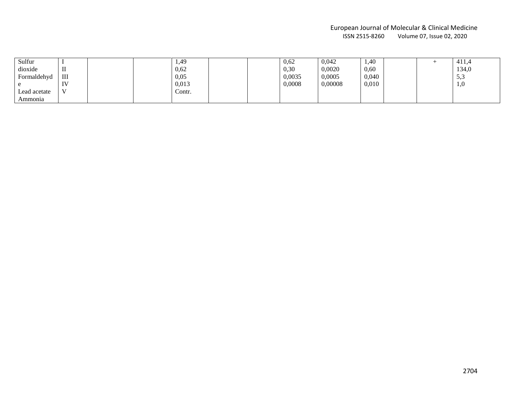#### European Journal of Molecular & Clinical Medicine Volume 07, Issue 02, 2020

| Sulfur       |                                                     | 1,49   |  | 0,62   | 0,042   | 1,40  |  | 411,4      |
|--------------|-----------------------------------------------------|--------|--|--------|---------|-------|--|------------|
| dioxide      |                                                     | 0,62   |  | 0,30   | 0,0020  | 0,60  |  | 134,0      |
| Formaldehyd  | III                                                 | 0,05   |  | 0,0035 | 0,0005  | 0,040 |  | 5<<br>ັບເປ |
|              | $\mathbf{I} \mathbf{V}$<br>$\overline{\phantom{a}}$ | 0,013  |  | 0,0008 | 0,00008 | 0,010 |  | <b>1,0</b> |
| Lead acetate | $\mathbf{v}$                                        | Contr. |  |        |         |       |  |            |
| Ammonia      |                                                     |        |  |        |         |       |  |            |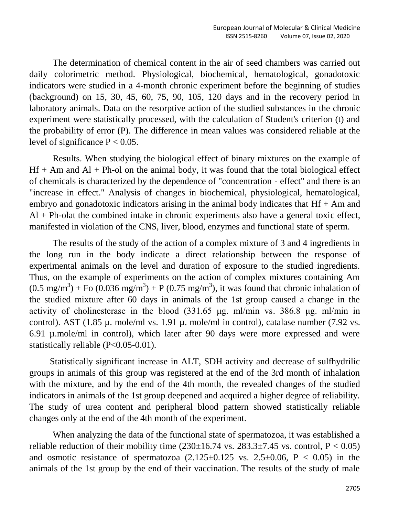The determination of chemical content in the air of seed chambers was carried out daily colorimetric method. Physiological, biochemical, hematological, gonadotoxic indicators were studied in a 4-month chronic experiment before the beginning of studies (background) on 15, 30, 45, 60, 75, 90, 105, 120 days and in the recovery period in laboratory animals. Data on the resorptive action of the studied substances in the chronic experiment were statistically processed, with the calculation of Student's criterion (t) and the probability of error (P). The difference in mean values was considered reliable at the level of significance  $P < 0.05$ .

Results. When studying the biological effect of binary mixtures on the example of  $Hf + Am$  and  $Al + Ph$ -ol on the animal body, it was found that the total biological effect of chemicals is characterized by the dependence of "concentration - effect" and there is an "increase in effect." Analysis of changes in biochemical, physiological, hematological, embryo and gonadotoxic indicators arising in the animal body indicates that  $Hf + Am$  and  $Al + Ph$ -olat the combined intake in chronic experiments also have a general toxic effect, manifested in violation of the CNS, liver, blood, enzymes and functional state of sperm.

The results of the study of the action of a complex mixture of 3 and 4 ingredients in the long run in the body indicate a direct relationship between the response of experimental animals on the level and duration of exposure to the studied ingredients. Thus, on the example of experiments on the action of complex mixtures containing Am  $(0.5 \text{ mg/m}^3) + \text{Fo } (0.036 \text{ mg/m}^3) + \text{P } (0.75 \text{ mg/m}^3)$ , it was found that chronic inhalation of the studied mixture after 60 days in animals of the 1st group caused a change in the activity of cholinesterase in the blood (331.65 μg. ml/min vs. 386.8 μg. ml/min in control). AST (1.85 µ. mole/ml vs. 1.91 µ. mole/ml in control), catalase number (7.92 vs. 6.91 µ.mole/ml in control), which later after 90 days were more expressed and were statistically reliable (P<0.05-0.01).

 Statistically significant increase in ALT, SDH activity and decrease of sulfhydrilic groups in animals of this group was registered at the end of the 3rd month of inhalation with the mixture, and by the end of the 4th month, the revealed changes of the studied indicators in animals of the 1st group deepened and acquired a higher degree of reliability. The study of urea content and peripheral blood pattern showed statistically reliable changes only at the end of the 4th month of the experiment.

When analyzing the data of the functional state of spermatozoa, it was established a reliable reduction of their mobility time  $(230\pm16.74 \text{ vs. } 283.3\pm7.45 \text{ vs. control, } P < 0.05)$ and osmotic resistance of spermatozoa  $(2.125\pm0.125 \text{ vs. } 2.5\pm0.06, \text{ P} < 0.05)$  in the animals of the 1st group by the end of their vaccination. The results of the study of male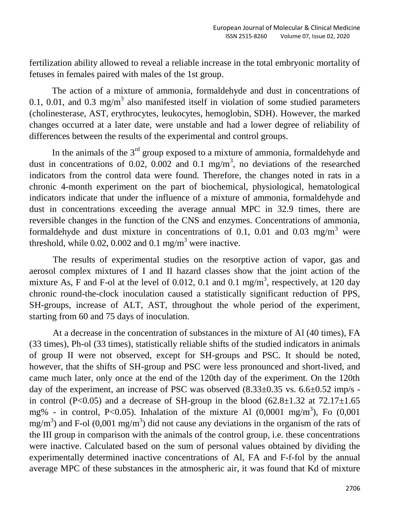fertilization ability allowed to reveal a reliable increase in the total embryonic mortality of fetuses in females paired with males of the 1st group.

 The action of a mixture of ammonia, formaldehyde and dust in concentrations of 0.1, 0.01, and 0.3 mg/m<sup>3</sup> also manifested itself in violation of some studied parameters (cholinesterase, AST, erythrocytes, leukocytes, hemoglobin, SDH). However, the marked changes occurred at a later date, were unstable and had a lower degree of reliability of differences between the results of the experimental and control groups.

In the animals of the  $3<sup>rd</sup>$  group exposed to a mixture of ammonia, formaldehyde and dust in concentrations of 0.02, 0.002 and 0.1 mg/m<sup>3</sup>, no deviations of the researched indicators from the control data were found. Therefore, the changes noted in rats in a chronic 4-month experiment on the part of biochemical, physiological, hematological indicators indicate that under the influence of a mixture of ammonia, formaldehyde and dust in concentrations exceeding the average annual MPC in 32.9 times, there are reversible changes in the function of the CNS and enzymes. Concentrations of ammonia, formaldehyde and dust mixture in concentrations of 0.1, 0.01 and 0.03 mg/m<sup>3</sup> were threshold, while 0.02, 0.002 and 0.1 mg/m<sup>3</sup> were inactive.

The results of experimental studies on the resorptive action of vapor, gas and aerosol complex mixtures of I and II hazard classes show that the joint action of the mixture As, F and F-ol at the level of 0.012, 0.1 and 0.1 mg/m<sup>3</sup>, respectively, at 120 day chronic round-the-clock inoculation caused a statistically significant reduction of PPS, SH-groups, increase of ALT, AST, throughout the whole period of the experiment, starting from 60 and 75 days of inoculation.

At a decrease in the concentration of substances in the mixture of Al (40 times), FA (33 times), Ph-ol (33 times), statistically reliable shifts of the studied indicators in animals of group II were not observed, except for SH-groups and PSC. It should be noted, however, that the shifts of SH-group and PSC were less pronounced and short-lived, and came much later, only once at the end of the 120th day of the experiment. On the 120th day of the experiment, an increase of PSC was observed  $(8.33\pm0.35 \text{ vs. } 6.6\pm0.52 \text{ imp/s}$ in control (P<0.05) and a decrease of SH-group in the blood  $(62.8 \pm 1.32 \text{ at } 72.17 \pm 1.65 \text{ s})$ mg% - in control, P<0.05). Inhalation of the mixture Al  $(0,0001 \text{ mg/m}^3)$ , Fo  $(0,001$ mg/m<sup>3</sup>) and F-ol (0,001 mg/m<sup>3</sup>) did not cause any deviations in the organism of the rats of the III group in comparison with the animals of the control group, i.e. these concentrations were inactive. Calculated based on the sum of personal values obtained by dividing the experimentally determined inactive concentrations of Al, FA and F-f-fol by the annual average MPC of these substances in the atmospheric air, it was found that Kd of mixture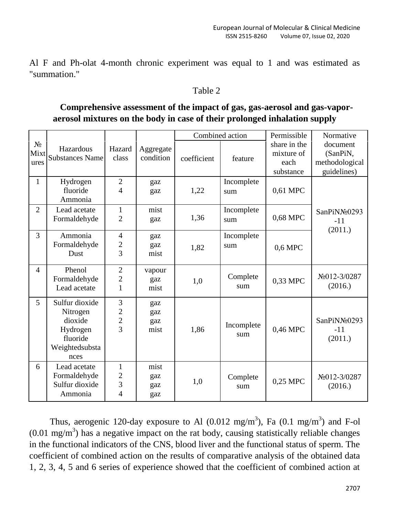Al F and Ph-olat 4-month chronic experiment was equal to 1 and was estimated as "summation."

## Table 2

## **Comprehensive assessment of the impact of gas, gas-aerosol and gas-vaporaerosol mixtures on the body in case of their prolonged inhalation supply**

|                       |                                                                                         |                                                             | Aggregate<br>condition    |             | Combined action   | Permissible                                     | Normative                                             |  |
|-----------------------|-----------------------------------------------------------------------------------------|-------------------------------------------------------------|---------------------------|-------------|-------------------|-------------------------------------------------|-------------------------------------------------------|--|
| $N_2$<br>Mixt<br>ures | Hazardous<br><b>Substances Name</b>                                                     | Hazard<br>class                                             |                           | coefficient | feature           | share in the<br>mixture of<br>each<br>substance | document<br>(SanPiN,<br>methodological<br>guidelines) |  |
| $\mathbf{1}$          | Hydrogen<br>fluoride<br>Ammonia                                                         | $\overline{2}$<br>$\overline{4}$                            | gaz<br>gaz                | 1,22        | Incomplete<br>sum | 0,61 MPC                                        |                                                       |  |
| $\overline{2}$        | Lead acetate<br>Formaldehyde                                                            | $\mathbf{1}$<br>$\overline{2}$                              | mist<br>gaz               | 1,36        | Incomplete<br>sum | 0,68 MPC                                        | SanPiNN <sup>o</sup> 0293<br>$-11$<br>(2011.)         |  |
| 3                     | Ammonia<br>Formaldehyde<br>Dust                                                         | 4<br>$\overline{c}$<br>$\overline{3}$                       | gaz<br>gaz<br>mist        | 1,82        | Incomplete<br>sum | 0,6 MPC                                         |                                                       |  |
| $\overline{4}$        | Phenol<br>Formaldehyde<br>Lead acetate                                                  | $\overline{2}$<br>$\mathbf{2}$<br>$\mathbf{1}$              | vapour<br>gaz<br>mist     | 1,0         | Complete<br>sum   | 0,33 MPC                                        | No012-3/0287<br>(2016.)                               |  |
| 5                     | Sulfur dioxide<br>Nitrogen<br>dioxide<br>Hydrogen<br>fluoride<br>Weightedsubsta<br>nces | $\mathfrak 3$<br>$\begin{array}{c} 2 \\ 2 \\ 3 \end{array}$ | gaz<br>gaz<br>gaz<br>mist | 1,86        | Incomplete<br>sum | 0,46 MPC                                        | SanPiNN <sup>o</sup> 0293<br>$-11$<br>(2011.)         |  |
| 6                     | Lead acetate<br>Formaldehyde<br>Sulfur dioxide<br>Ammonia                               | 1<br>$\overline{c}$<br>3<br>4                               | mist<br>gaz<br>gaz<br>gaz | 1,0         | Complete<br>sum   | 0,25 MPC                                        | No012-3/0287<br>(2016.)                               |  |

Thus, aerogenic 120-day exposure to Al  $(0.012 \text{ mg/m}^3)$ , Fa  $(0.1 \text{ mg/m}^3)$  and F-ol  $(0.01 \text{ mg/m}^3)$  has a negative impact on the rat body, causing statistically reliable changes in the functional indicators of the CNS, blood liver and the functional status of sperm. The coefficient of combined action on the results of comparative analysis of the obtained data 1, 2, 3, 4, 5 and 6 series of experience showed that the coefficient of combined action at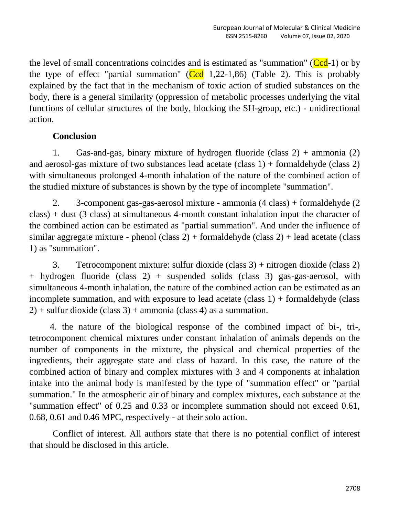the level of small concentrations coincides and is estimated as "summation" ( $\text{Ccd-1}$ ) or by the type of effect "partial summation" ( $Ccd$  1,22-1,86) (Table 2). This is probably explained by the fact that in the mechanism of toxic action of studied substances on the body, there is a general similarity (oppression of metabolic processes underlying the vital functions of cellular structures of the body, blocking the SH-group, etc.) - unidirectional action.

## **Conclusion**

1. Gas-and-gas, binary mixture of hydrogen fluoride (class  $2$ ) + ammonia (2) and aerosol-gas mixture of two substances lead acetate (class 1) + formaldehyde (class 2) with simultaneous prolonged 4-month inhalation of the nature of the combined action of the studied mixture of substances is shown by the type of incomplete "summation".

2. 3-component gas-gas-aerosol mixture - ammonia (4 class) + formaldehyde (2 class) + dust (3 class) at simultaneous 4-month constant inhalation input the character of the combined action can be estimated as "partial summation". And under the influence of similar aggregate mixture - phenol (class  $2$ ) + formaldehyde (class  $2$ ) + lead acetate (class 1) as "summation".

3. Tetrocomponent mixture: sulfur dioxide (class 3) + nitrogen dioxide (class 2) + hydrogen fluoride (class 2) + suspended solids (class 3) gas-gas-aerosol, with simultaneous 4-month inhalation, the nature of the combined action can be estimated as an incomplete summation, and with exposure to lead acetate (class 1) + formaldehyde (class  $2$ ) + sulfur dioxide (class 3) + ammonia (class 4) as a summation.

4. the nature of the biological response of the combined impact of bi-, tri-, tetrocomponent chemical mixtures under constant inhalation of animals depends on the number of components in the mixture, the physical and chemical properties of the ingredients, their aggregate state and class of hazard. In this case, the nature of the combined action of binary and complex mixtures with 3 and 4 components at inhalation intake into the animal body is manifested by the type of "summation effect" or "partial summation." In the atmospheric air of binary and complex mixtures, each substance at the "summation effect" of 0.25 and 0.33 or incomplete summation should not exceed 0.61, 0.68, 0.61 and 0.46 MPC, respectively - at their solo action.

Conflict of interest. All authors state that there is no potential conflict of interest that should be disclosed in this article.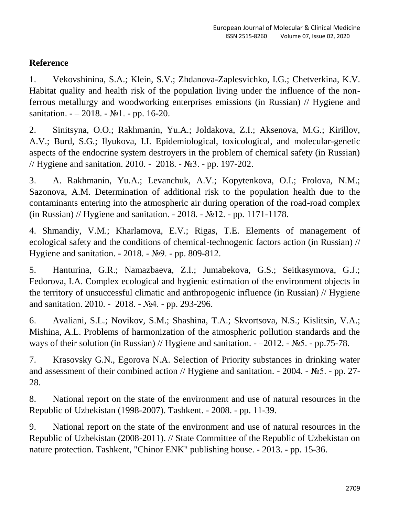# **Reference**

1. Vekovshinina, S.A.; Klein, S.V.; Zhdanova-Zaplesvichko, I.G.; Chetverkina, K.V. Habitat quality and health risk of the population living under the influence of the nonferrous metallurgy and woodworking enterprises emissions (in Russian) // Hygiene and sanitation.  $-2018. - N<sub>2</sub>1. - pp. 16-20.$ 

2. Sinitsyna, O.O.; Rakhmanin, Yu.A.; Joldakova, Z.I.; Aksenova, M.G.; Kirillov, A.V.; Burd, S.G.; Ilyukova, I.I. Epidemiological, toxicological, and molecular-genetic aspects of the endocrine system destroyers in the problem of chemical safety (in Russian) // Hygiene and sanitation. 2010. - 2018. - №3. - pp. 197-202.

3. A. Rakhmanin, Yu.A.; Levanchuk, A.V.; Kopytenkova, O.I.; Frolova, N.M.; Sazonova, A.M. Determination of additional risk to the population health due to the contaminants entering into the atmospheric air during operation of the road-road complex (in Russian) // Hygiene and sanitation. - 2018. - №12. - pp. 1171-1178.

4. Shmandiy, V.M.; Kharlamova, E.V.; Rigas, T.E. Elements of management of ecological safety and the conditions of chemical-technogenic factors action (in Russian) // Hygiene and sanitation. - 2018. - №9. - pp. 809-812.

5. Hanturina, G.R.; Namazbaeva, Z.I.; Jumabekova, G.S.; Seitkasymova, G.J.; Fedorova, I.A. Complex ecological and hygienic estimation of the environment objects in the territory of unsuccessful climatic and anthropogenic influence (in Russian) // Hygiene and sanitation. 2010. - 2018. - №4. - pp. 293-296.

6. Avaliani, S.L.; Novikov, S.M.; Shashina, T.A.; Skvortsova, N.S.; Kislitsin, V.A.; Mishina, A.L. Problems of harmonization of the atmospheric pollution standards and the ways of their solution (in Russian) // Hygiene and sanitation.  $-2012$ .  $-$  №5. - pp.75-78.

7. Krasovsky G.N., Egorova N.A. Selection of Priority substances in drinking water and assessment of their combined action // Hygiene and sanitation. - 2004. - №5. - pp. 27- 28.

8. National report on the state of the environment and use of natural resources in the Republic of Uzbekistan (1998-2007). Tashkent. - 2008. - pp. 11-39.

9. National report on the state of the environment and use of natural resources in the Republic of Uzbekistan (2008-2011). // State Committee of the Republic of Uzbekistan on nature protection. Tashkent, "Chinor ENK" publishing house. - 2013. - pp. 15-36.